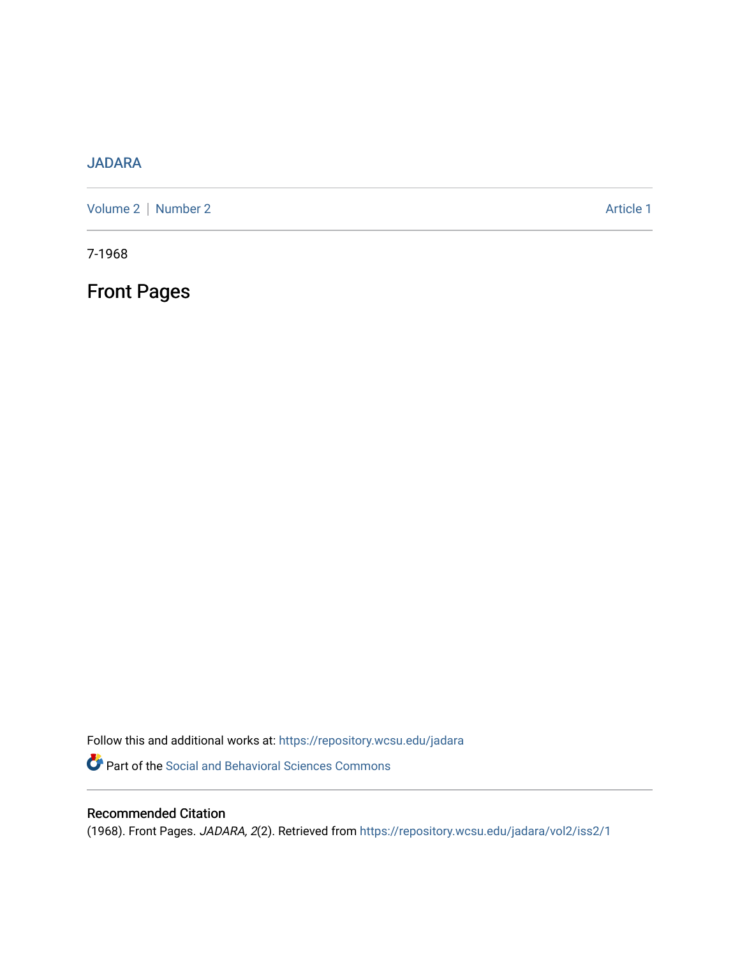## [JADARA](https://repository.wcsu.edu/jadara)

[Volume 2](https://repository.wcsu.edu/jadara/vol2) | [Number 2](https://repository.wcsu.edu/jadara/vol2/iss2) Article 1

7-1968

Front Pages

Follow this and additional works at: [https://repository.wcsu.edu/jadara](https://repository.wcsu.edu/jadara?utm_source=repository.wcsu.edu%2Fjadara%2Fvol2%2Fiss2%2F1&utm_medium=PDF&utm_campaign=PDFCoverPages) Part of the [Social and Behavioral Sciences Commons](http://network.bepress.com/hgg/discipline/316?utm_source=repository.wcsu.edu%2Fjadara%2Fvol2%2Fiss2%2F1&utm_medium=PDF&utm_campaign=PDFCoverPages) 

## Recommended Citation

(1968). Front Pages. JADARA, 2(2). Retrieved from [https://repository.wcsu.edu/jadara/vol2/iss2/1](https://repository.wcsu.edu/jadara/vol2/iss2/1?utm_source=repository.wcsu.edu%2Fjadara%2Fvol2%2Fiss2%2F1&utm_medium=PDF&utm_campaign=PDFCoverPages)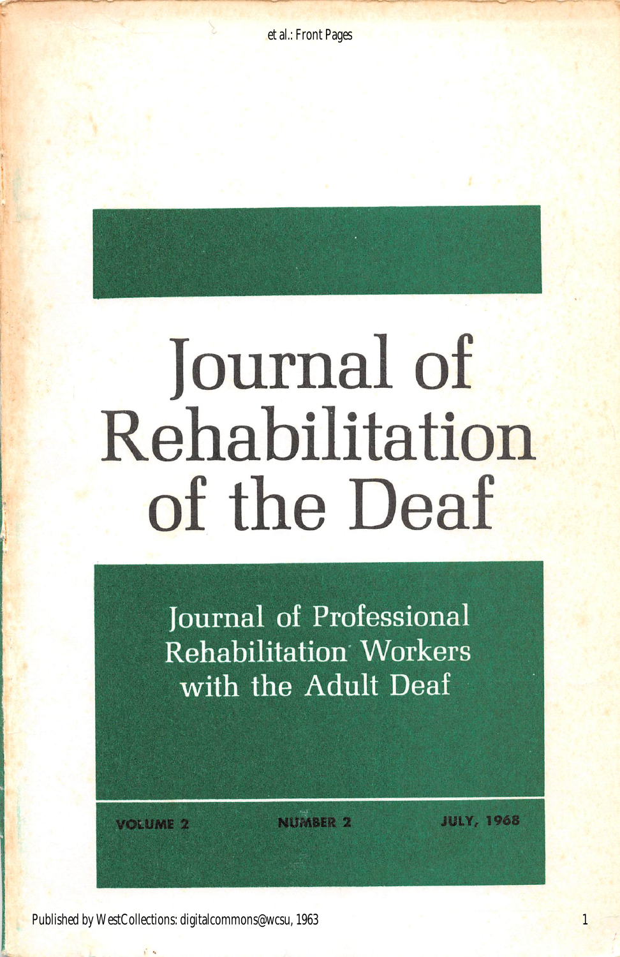

Journal of Professional Rehabilitation Workers with the Adult Deaf

of the Deaf

VOiUMl 2

**NUMBER 2** 

JULY, 1968

1

Published by WestCollections: digitalcommons@wcsu, 1963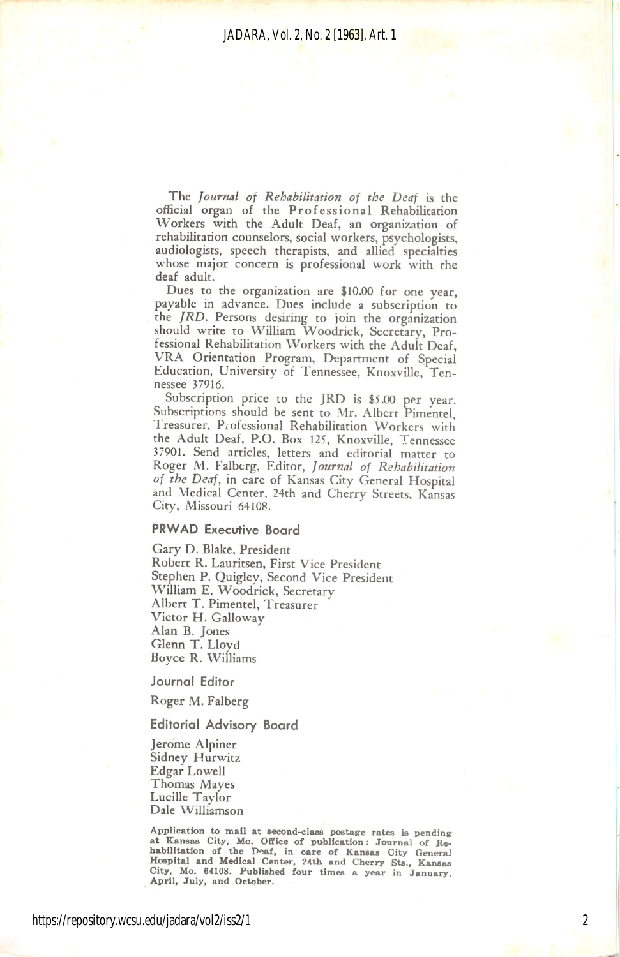The Journal of Rehabilitation of the Deaf is the official organ of the Professional Rehabilitation Workers with the Adult Deaf, an organization of rehabilitation counselors, social workers, psychologists, audiologists, speech therapists, and allied specialties whose major concern is professional work with the deaf adult.

Dues to the organization are \$10.00 for one year, payable in advance. Dues include a subscription to the JRD. Persons desiring to join the organization should write to William Woodrick, Secretary, Pro fessional Rehabilitation Workers with the Adult Deaf, VRA Orientation Program, Department of Special Education, University of Tennessee, Knoxville, Ten nessee 37916.

Subscription price to the JRD is \$5.00 per year. Subscriptions should be sent to Mr. Albert Pimentel, Treasurer, Professional Rehabilitation Workers with the Adult Deaf, P.O. Box 125, Knoxville, Tennessee 37901. Send articles, letters and editorial matter to Roger M. Falberg, Editor, Journal of Rehabilitation of the Deaf, in care of Kansas City General Hospital and Medical Center, 24th and Cherry Streets, Kansas City, Missouri 64108.

### PRWAD Executive Board

Gary D. Blake, President Robert R. Lauritsen, First Vice President Stephen P. Quigley, Second Vice President William E. Woodrick, Secretary Albert T. Pimentel, Treasurer Victor H. Galloway Alan B. Jones Glenn T. Lloyd Boyce R. Williams

Journal Editor

Roger M. Falberg

#### Editorial Advisory Board

Jerome Alpiner Sidney Hurwitz Edgar Lowell Thomas Mayes Lucille Taylor Dale Williamson

Application to mail at second-class postage rates is pending at Kansas City, Mo. Office of publication: Journal of Re habilitation of the Deaf, in care of Kansas City General Hospital and Medical Center, ?4th and Cherry Sts., Kansas City, Mo. 64108. Published four times a year in January, April, July, and October.

2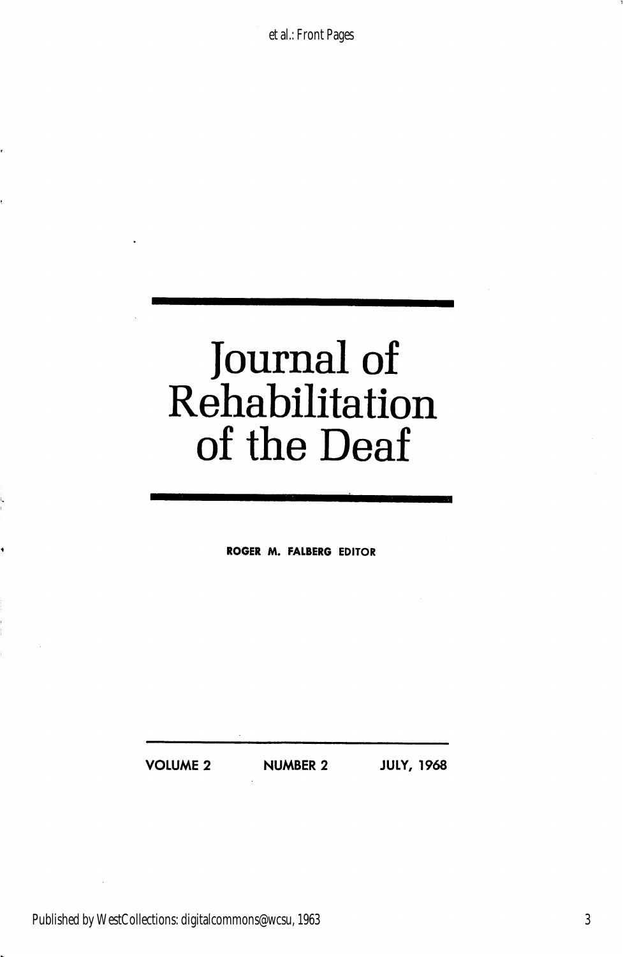et al.: Front Pages

# Journal of Rehabilitation of the Deaf

ROGER M. FALBERG EDITOR

VOLUME 2 NUMBER 2 JULY, 1968